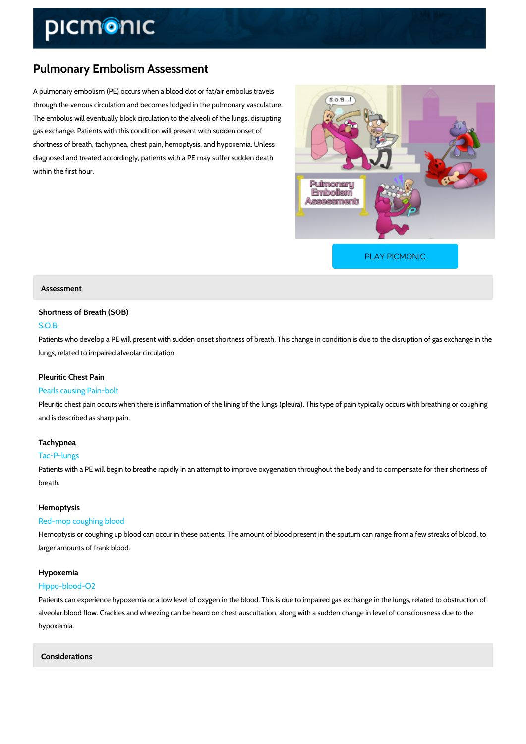# Pulmonary Embolism Assessment

A pulmonary embolism (PE) occurs when a blood clot or fat/air embolus travels through the venous circulation and becomes lodged in the pulmonary vasculature. The embolus will eventually block circulation to the alveoli of the lungs, disrupting gas exchange. Patients with this condition will present with sudden onset of shortness of breath, tachypnea, chest pain, hemoptysis, and hypoxemia. Unless diagnosed and treated accordingly, patients with a PE may suffer sudden death within the first hour.

[PLAY PICMONIC](https://www.picmonic.com/learn/pulmonary-embolism-assessment_2088?utm_source=downloadable_content&utm_medium=distributedcontent&utm_campaign=pathways_pdf&utm_content=Pulmonary Embolism Assessment&utm_ad_group=leads&utm_market=all)

### Assessment

# Shortness of Breath (SOB)

### S.O.B.

Patients who develop a PE will present with sudden onset shortness of breath. This change in lungs, related to impaired alveolar circulation.

# Pleuritic Chest Pain

# Pearls causing Pain-bolt

Pleuritic chest pain occurs when there is inflammation of the lining of the lungs (pleura). This and is described as sharp pain.

# Tachypnea

### Tac-P-lungs

Patients with a PE will begin to breathe rapidly in an attempt to improve oxygenation throughout breath.

### Hemoptysis

### Red-mop coughing blood

Hemoptysis or coughing up blood can occur in these patients. The amount of blood present in larger amounts of frank blood.

### Hypoxemia

#### Hippo-blood-O2

Patients can experience hypoxemia or a low level of oxygen in the blood. This is due to impai alveolar blood flow. Crackles and wheezing can be heard on chest auscultation, along with a s hypoxemia.

Considerations